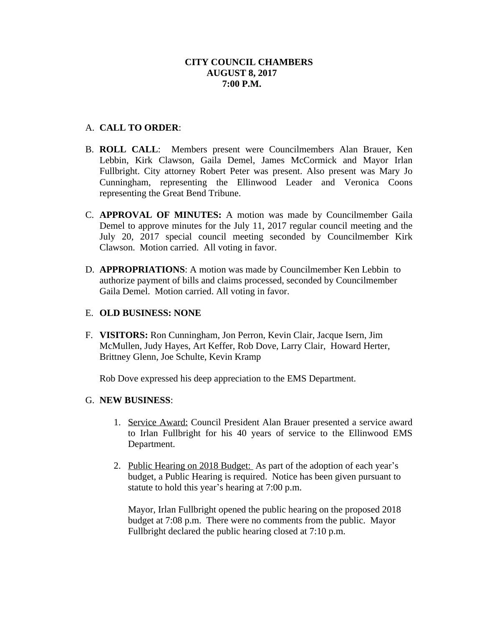# A. **CALL TO ORDER**:

- B. **ROLL CALL**: Members present were Councilmembers Alan Brauer, Ken Lebbin, Kirk Clawson, Gaila Demel, James McCormick and Mayor Irlan Fullbright. City attorney Robert Peter was present. Also present was Mary Jo Cunningham, representing the Ellinwood Leader and Veronica Coons representing the Great Bend Tribune.
- C. **APPROVAL OF MINUTES:** A motion was made by Councilmember Gaila Demel to approve minutes for the July 11, 2017 regular council meeting and the July 20, 2017 special council meeting seconded by Councilmember Kirk Clawson. Motion carried. All voting in favor.
- D. **APPROPRIATIONS**: A motion was made by Councilmember Ken Lebbin to authorize payment of bills and claims processed, seconded by Councilmember Gaila Demel. Motion carried. All voting in favor.

# E. **OLD BUSINESS: NONE**

F. **VISITORS:** Ron Cunningham, Jon Perron, Kevin Clair, Jacque Isern, Jim McMullen, Judy Hayes, Art Keffer, Rob Dove, Larry Clair, Howard Herter, Brittney Glenn, Joe Schulte, Kevin Kramp

Rob Dove expressed his deep appreciation to the EMS Department.

## G. **NEW BUSINESS**:

- 1. Service Award: Council President Alan Brauer presented a service award to Irlan Fullbright for his 40 years of service to the Ellinwood EMS Department.
- 2. Public Hearing on 2018 Budget: As part of the adoption of each year's budget, a Public Hearing is required. Notice has been given pursuant to statute to hold this year's hearing at 7:00 p.m.

Mayor, Irlan Fullbright opened the public hearing on the proposed 2018 budget at 7:08 p.m. There were no comments from the public. Mayor Fullbright declared the public hearing closed at 7:10 p.m.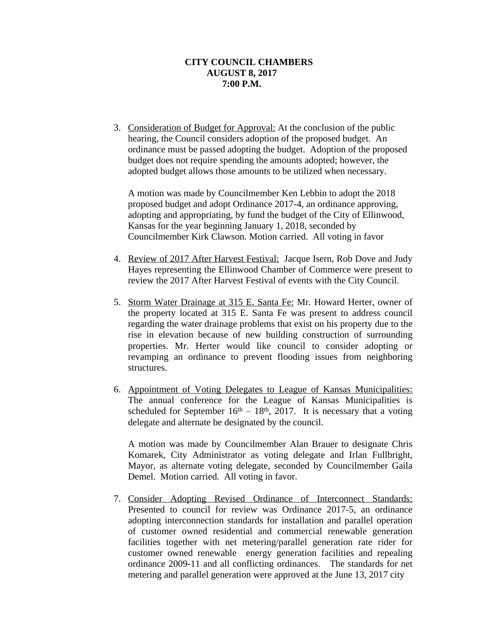3. Consideration of Budget for Approval: At the conclusion of the public hearing, the Council considers adoption of the proposed budget. An ordinance must be passed adopting the budget. Adoption of the proposed budget does not require spending the amounts adopted; however, the adopted budget allows those amounts to be utilized when necessary.

A motion was made by Councilmember Ken Lebbin to adopt the 2018 proposed budget and adopt Ordinance 2017-4, an ordinance approving, adopting and appropriating, by fund the budget of the City of Ellinwood, Kansas for the year beginning January 1, 2018, seconded by Councilmember Kirk Clawson. Motion carried. All voting in favor

- 4. Review of 2017 After Harvest Festival: Jacque Isern, Rob Dove and Judy Hayes representing the Ellinwood Chamber of Commerce were present to review the 2017 After Harvest Festival of events with the City Council.
- 5. Storm Water Drainage at 315 E. Santa Fe: Mr. Howard Herter, owner of the property located at 315 E. Santa Fe was present to address council regarding the water drainage problems that exist on his property due to the rise in elevation because of new building construction of surrounding properties. Mr. Herter would like council to consider adopting or revamping an ordinance to prevent flooding issues from neighboring structures.
- 6. Appointment of Voting Delegates to League of Kansas Municipalities: The annual conference for the League of Kansas Municipalities is scheduled for September  $16<sup>th</sup> - 18<sup>th</sup>$ , 2017. It is necessary that a voting delegate and alternate be designated by the council.

A motion was made by Councilmember Alan Brauer to designate Chris Komarek, City Administrator as voting delegate and Irlan Fullbright, Mayor, as alternate voting delegate, seconded by Councilmember Gaila Demel. Motion carried. All voting in favor.

7. Consider Adopting Revised Ordinance of Interconnect Standards: Presented to council for review was Ordinance 2017-5, an ordinance adopting interconnection standards for installation and parallel operation of customer owned residential and commercial renewable generation facilities together with net metering/parallel generation rate rider for customer owned renewable energy generation facilities and repealing ordinance 2009-11 and all conflicting ordinances. The standards for net metering and parallel generation were approved at the June 13, 2017 city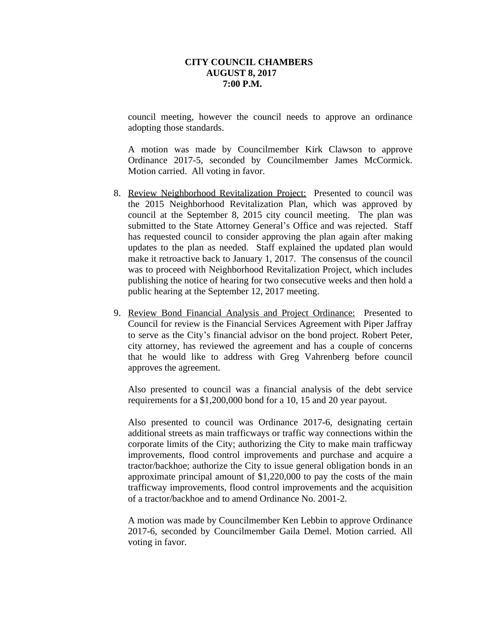council meeting, however the council needs to approve an ordinance adopting those standards.

A motion was made by Councilmember Kirk Clawson to approve Ordinance 2017-5, seconded by Councilmember James McCormick. Motion carried. All voting in favor.

- 8. Review Neighborhood Revitalization Project: Presented to council was the 2015 Neighborhood Revitalization Plan, which was approved by council at the September 8, 2015 city council meeting. The plan was submitted to the State Attorney General's Office and was rejected. Staff has requested council to consider approving the plan again after making updates to the plan as needed. Staff explained the updated plan would make it retroactive back to January 1, 2017. The consensus of the council was to proceed with Neighborhood Revitalization Project, which includes publishing the notice of hearing for two consecutive weeks and then hold a public hearing at the September 12, 2017 meeting.
- 9. Review Bond Financial Analysis and Project Ordinance: Presented to Council for review is the Financial Services Agreement with Piper Jaffray to serve as the City's financial advisor on the bond project. Robert Peter, city attorney, has reviewed the agreement and has a couple of concerns that he would like to address with Greg Vahrenberg before council approves the agreement.

Also presented to council was a financial analysis of the debt service requirements for a \$1,200,000 bond for a 10, 15 and 20 year payout.

Also presented to council was Ordinance 2017-6, designating certain additional streets as main trafficways or traffic way connections within the corporate limits of the City; authorizing the City to make main trafficway improvements, flood control improvements and purchase and acquire a tractor/backhoe; authorize the City to issue general obligation bonds in an approximate principal amount of \$1,220,000 to pay the costs of the main trafficway improvements, flood control improvements and the acquisition of a tractor/backhoe and to amend Ordinance No. 2001-2.

A motion was made by Councilmember Ken Lebbin to approve Ordinance 2017-6, seconded by Councilmember Gaila Demel. Motion carried. All voting in favor.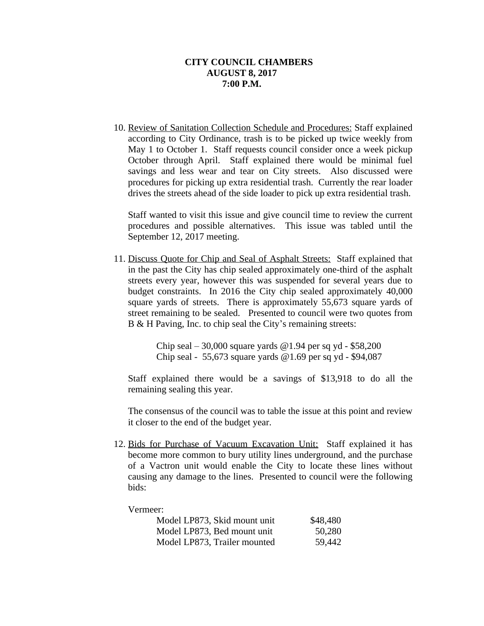10. Review of Sanitation Collection Schedule and Procedures: Staff explained according to City Ordinance, trash is to be picked up twice weekly from May 1 to October 1. Staff requests council consider once a week pickup October through April. Staff explained there would be minimal fuel savings and less wear and tear on City streets. Also discussed were procedures for picking up extra residential trash. Currently the rear loader drives the streets ahead of the side loader to pick up extra residential trash.

Staff wanted to visit this issue and give council time to review the current procedures and possible alternatives. This issue was tabled until the September 12, 2017 meeting.

11. Discuss Quote for Chip and Seal of Asphalt Streets: Staff explained that in the past the City has chip sealed approximately one-third of the asphalt streets every year, however this was suspended for several years due to budget constraints. In 2016 the City chip sealed approximately 40,000 square yards of streets. There is approximately 55,673 square yards of street remaining to be sealed. Presented to council were two quotes from B & H Paving, Inc. to chip seal the City's remaining streets:

> Chip seal – 30,000 square yards  $@1.94$  per sq yd - \$58,200 Chip seal - 55,673 square yards  $@1.69$  per sq yd - \$94,087

Staff explained there would be a savings of \$13,918 to do all the remaining sealing this year.

The consensus of the council was to table the issue at this point and review it closer to the end of the budget year.

12. Bids for Purchase of Vacuum Excavation Unit: Staff explained it has become more common to bury utility lines underground, and the purchase of a Vactron unit would enable the City to locate these lines without causing any damage to the lines. Presented to council were the following bids:

#### Vermeer:

| Model LP873, Skid mount unit | \$48,480 |
|------------------------------|----------|
| Model LP873, Bed mount unit  | 50,280   |
| Model LP873, Trailer mounted | 59,442   |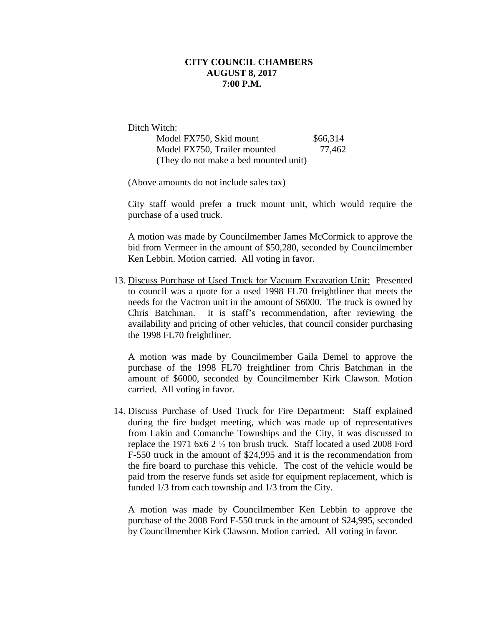Ditch Witch:

| Model FX750, Skid mount               | \$66,314 |
|---------------------------------------|----------|
| Model FX750, Trailer mounted          | 77,462   |
| (They do not make a bed mounted unit) |          |

(Above amounts do not include sales tax)

City staff would prefer a truck mount unit, which would require the purchase of a used truck.

A motion was made by Councilmember James McCormick to approve the bid from Vermeer in the amount of \$50,280, seconded by Councilmember Ken Lebbin. Motion carried. All voting in favor.

13. Discuss Purchase of Used Truck for Vacuum Excavation Unit: Presented to council was a quote for a used 1998 FL70 freightliner that meets the needs for the Vactron unit in the amount of \$6000. The truck is owned by Chris Batchman. It is staff's recommendation, after reviewing the availability and pricing of other vehicles, that council consider purchasing the 1998 FL70 freightliner.

A motion was made by Councilmember Gaila Demel to approve the purchase of the 1998 FL70 freightliner from Chris Batchman in the amount of \$6000, seconded by Councilmember Kirk Clawson. Motion carried. All voting in favor.

14. Discuss Purchase of Used Truck for Fire Department: Staff explained during the fire budget meeting, which was made up of representatives from Lakin and Comanche Townships and the City, it was discussed to replace the 1971 6x6 2 ½ ton brush truck. Staff located a used 2008 Ford F-550 truck in the amount of \$24,995 and it is the recommendation from the fire board to purchase this vehicle. The cost of the vehicle would be paid from the reserve funds set aside for equipment replacement, which is funded 1/3 from each township and 1/3 from the City.

A motion was made by Councilmember Ken Lebbin to approve the purchase of the 2008 Ford F-550 truck in the amount of \$24,995, seconded by Councilmember Kirk Clawson. Motion carried. All voting in favor.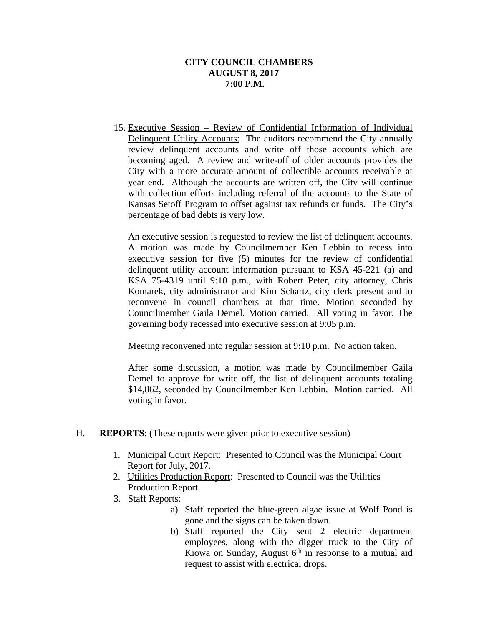15. Executive Session – Review of Confidential Information of Individual Delinquent Utility Accounts: The auditors recommend the City annually review delinquent accounts and write off those accounts which are becoming aged. A review and write-off of older accounts provides the City with a more accurate amount of collectible accounts receivable at year end. Although the accounts are written off, the City will continue with collection efforts including referral of the accounts to the State of Kansas Setoff Program to offset against tax refunds or funds. The City's percentage of bad debts is very low.

An executive session is requested to review the list of delinquent accounts. A motion was made by Councilmember Ken Lebbin to recess into executive session for five (5) minutes for the review of confidential delinquent utility account information pursuant to KSA 45-221 (a) and KSA 75-4319 until 9:10 p.m., with Robert Peter, city attorney, Chris Komarek, city administrator and Kim Schartz, city clerk present and to reconvene in council chambers at that time. Motion seconded by Councilmember Gaila Demel. Motion carried. All voting in favor. The governing body recessed into executive session at 9:05 p.m.

Meeting reconvened into regular session at 9:10 p.m. No action taken.

After some discussion, a motion was made by Councilmember Gaila Demel to approve for write off, the list of delinquent accounts totaling \$14,862, seconded by Councilmember Ken Lebbin. Motion carried. All voting in favor.

- H. **REPORTS**: (These reports were given prior to executive session)
	- 1. Municipal Court Report: Presented to Council was the Municipal Court Report for July, 2017.
	- 2. Utilities Production Report: Presented to Council was the Utilities Production Report.
	- 3. Staff Reports:
		- a) Staff reported the blue-green algae issue at Wolf Pond is gone and the signs can be taken down.
		- b) Staff reported the City sent 2 electric department employees, along with the digger truck to the City of Kiowa on Sunday, August 6<sup>th</sup> in response to a mutual aid request to assist with electrical drops.